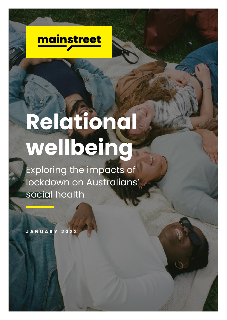

# **Relational wellbeing**

Exploring the impacts of lockdown on Australians' social health

**J A N U A R Y 2 0 2 2**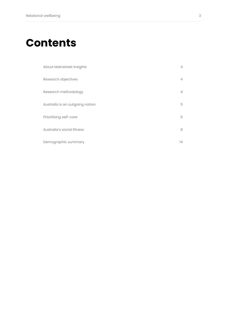### **Contents**

| About Mainstreet Insights       | $\overline{4}$ |
|---------------------------------|----------------|
| Research objectives             | $\overline{4}$ |
| Research methodology            | $\overline{4}$ |
| Australia is an outgoing nation | 5              |
| Prioritising self-care          | 6              |
| Australia's social fitness      | 8              |
| Demographic summary             | 14             |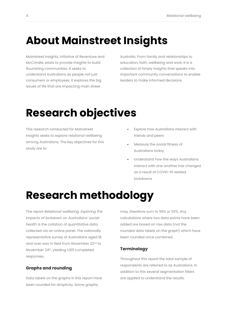### <span id="page-3-0"></span>**About Mainstreet Insights**

Mainstreet Insights, initiative of Reventure and McCrindle, exists to provide insights to build flourishing communities. It seeks to understand Australians as people not just consumers or employees. It explores the big issues of life that are impacting main street

Australia. From family and relationships to education, faith, wellbeing and work, it is a collection of timely insights that speaks into important community conversations to enable leaders to make informed decisions.

### <span id="page-3-1"></span>**Research objectives**

This research conducted for Mainstreet Insights seeks to explore relational wellbeing among Australians. The key objectives for this study are to:

- Explore how Australians interact with friends and peers
- Measure the social fitness of Australians today
- Understand how the ways Australians interact with one another has changed as a result of COVID-19 related lockdowns

### <span id="page-3-2"></span>**Research methodology**

The report *Relational wellbeing: Exploring the impacts of lockdown on Australians' social health* is the collation of quantitative data collected via an online panel. The nationally representative survey of Australians aged 18 and over was in field from November 22nd to November 24 th, yielding 1,001 completed responses.

#### **Graphs and rounding**

Data labels on the graphs in this report have been rounded for simplicity. Some graphs,

may, therefore sum to 99% or 101%. Any calculations where two data points have been added are based on raw data (not the rounded data labels on the graph) which have been rounded once combined.

#### **Terminology**

Throughout this report the total sample of respondents are referred to as Australians. In addition to this several segmentation filters are applied to understand the results.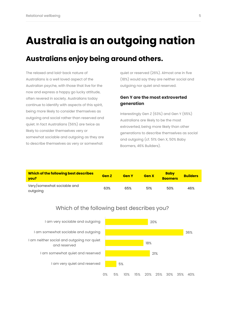### <span id="page-4-0"></span>**Australia is an outgoing nation**

#### **Australians enjoy being around others.**

The relaxed and laid-back nature of Australians is a well loved aspect of the Australian psyche, with those that live for the now and express a happy go lucky attitude, often revered in society. Australians today continue to identify with aspects of this spirit, being more likely to consider themselves as outgoing and social rather than reserved and quiet. In fact Australians (56%) are twice as likely to consider themselves very or somewhat sociable and outgoing as they are to describe themselves as very or somewhat

quiet or reserved (26%). Almost one in five (18%) would say they are neither social and outgoing nor quiet and reserved.

#### **Gen Y are the most extroverted generation**

Interestingly Gen Z (63%) and Gen Y (65%) Australians are likely to be the most extroverted, being more likely than other generations to describe themselves as social and outgoing (cf. 51% Gen X, 50% Baby Boomers, 46% Builders).

| Which of the following best describes<br><b>you?</b> | Gen Z | <b>Gen Y</b> | <b>Gen X</b> | <b>Baby</b><br><b>Boomers</b> | <b>Builders</b> |
|------------------------------------------------------|-------|--------------|--------------|-------------------------------|-----------------|
| Very/somewhat sociable and<br>outgoing               | 63%   | 65%          | 51%          | 50%                           | 46%             |



#### Which of the following best describes you?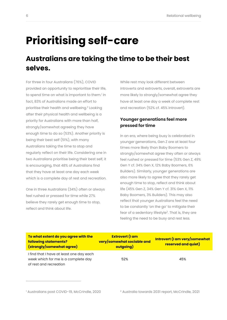### <span id="page-5-0"></span>**Prioritising self-care**

#### **Australians are taking the time to be their best selves.**

For three in four Australians (76%), COVID provided an opportunity to reprioritise their life, to spend time on what is important to them.<sup>1</sup> In fact, 83% of Australians made an effort to prioritise their health and wellbeing. 2 Looking after their physical health and wellbeing is a priority for Australians with more than half, strongly/somewhat agreeing they have enough time to do so (53%). Another priority is being their best self (51%), with many Australians taking the time to stop and regularly reflect on their life. Considering one in two Australians prioritise being their best self, it is encouraging, that 48% of Australians find that they have at least one day each week which is a complete day of rest and recreation.

One in three Australians (34%) often or always feel rushed or pressed for time while 27% believe they rarely get enough time to stop, reflect and think about life.

While rest may look different between introverts and extroverts, overall, extroverts are more likely to strongly/somewhat agree they have at least one day a week of complete rest and recreation (52% cf. 45% introvert).

#### <span id="page-5-1"></span>**Younger generations feel more pressed for time**

In an era, where being busy is celebrated in younger generations, Gen Z are at least four times more likely than Baby Boomers to strongly/somewhat agree they often or always feel rushed or pressed for time (53% Gen Z, 49% Gen Y cf. 34% Gen X, 12% Baby Boomers, 6% Builders). Similarly, younger generations are also more likely to agree that they rarely get enough time to stop, reflect and think about life (45% Gen Z, 34% Gen Y cf. 31% Gen X, 11% Baby Boomers, 3% Builders). This may also reflect that younger Australians feel the need to be constantly 'on the go' to mitigate their f[e](#page-5-1)ar of a sedentary lifestyle<sup>2</sup>. That is, they are feeling the need to be busy and rest less.

| To what extent do you agree with the<br>following statements?<br>(strongly/somewhat agree)                | <b>Extrovert (I am</b><br>very/somewhat sociable and<br>outgoing) | Introvert (I am very/somewhat<br><b>reserved and quiet)</b> |
|-----------------------------------------------------------------------------------------------------------|-------------------------------------------------------------------|-------------------------------------------------------------|
| I find that I have at least one day each<br>week which for me is a complete day<br>of rest and recreation | 52%                                                               | 45%                                                         |

<sup>1</sup> Australians post COVID-19, McCrindle, 2020 <sup>2</sup> Australia towards 2031 report, McCrindle, 2021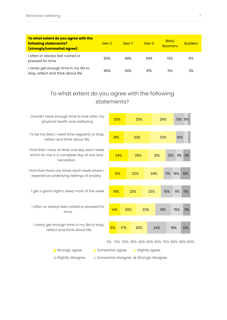| To what extent do you agree with the<br>following statements?<br>(strongly/somewhat agree) | Gen Z | Gen Y | Gen X | <b>Baby</b><br><b>Boomers</b> | <b>Builders</b> |
|--------------------------------------------------------------------------------------------|-------|-------|-------|-------------------------------|-----------------|
| I often or always feel rushed or<br>pressed for time                                       | 53%   | 49%   | 34%   | 12%                           | 6%              |
| I rarely get enough time in my life to<br>stop, reflect and think about life               | 45%   | 34%   | 31%   | 11%                           | 3%              |

#### To what extent do you agree with the following statements?

| Overall I have enough time to look after my<br>physical health and wellbeing               | 20% |                                     |     | 33%            |     | 26% |           | 13% 5%                                      |
|--------------------------------------------------------------------------------------------|-----|-------------------------------------|-----|----------------|-----|-----|-----------|---------------------------------------------|
|                                                                                            |     |                                     |     |                |     |     |           |                                             |
| To be my best, I need time regularly to stop,<br>reflect and think about life              | 18% |                                     | 33% |                |     | 32% | 10%       |                                             |
| I find that I have at least one day each week                                              |     |                                     |     |                |     |     |           |                                             |
| which for me is a complete day of rest and<br>recreation                                   | 24% |                                     |     | 25%            | 21% |     | 12%<br>9% | 9%                                          |
|                                                                                            |     |                                     |     |                |     |     |           |                                             |
| I find that there are times each week where I<br>experience underlying feelings of anxiety | 21% |                                     | 22% |                | 24% | 11% | 10%       | 12%                                         |
|                                                                                            |     |                                     |     |                |     |     |           |                                             |
| I get a good night's sleep most of the week                                                | 18% |                                     | 23% |                | 23% | 15% | 11%       | 11%                                         |
|                                                                                            |     |                                     |     |                |     |     |           |                                             |
| I often or always feel rushed or pressed for<br>time                                       | 14% |                                     | 20% | 23%            |     | 19% | 15%       | 9%                                          |
|                                                                                            |     |                                     |     |                |     |     |           |                                             |
| I rarely get enough time in my life to stop,<br>reflect and think about life               | 9%  | 17%                                 |     | 20%            | 24% |     | 18%       | 12%                                         |
|                                                                                            |     |                                     |     |                |     |     |           |                                             |
|                                                                                            |     |                                     |     |                |     |     |           | 0% 10% 20% 30% 40% 50% 60% 70% 80% 90% 100% |
| Somewhat agree<br>Strongly agree                                                           |     |                                     |     | Slightly agree |     |     |           |                                             |
| Slightly disagree                                                                          |     | Somewhat disagree Strongly disagree |     |                |     |     |           |                                             |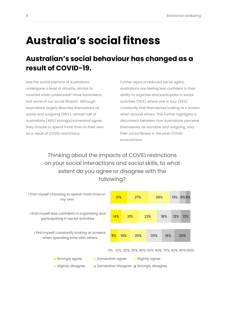### <span id="page-7-0"></span>**Australia's social fitness**

#### **Australian's social behaviour has changed as a result of COVID-19.**

Has the social stamina of Australians undergone a level of atrophy, similar to muscles when underused? Have Australians lost some of our social fitness? Although Australians largely describe themselves as social and outgoing (56%), almost half of Australians (48%) strongly/somewhat agree they choose to spend more time on their own as a result of COVID restrictions.

Further signs of reduced social agility, Australians are feeling less confident in their ability to organise and participate in social activities (35%) where one in four (25%) constantly find themselves looking at a screen when around others. This further highlights a disconnect between how Australians perceive themselves, as sociable and outgoing, and their social fitness in the post-COVID environment.

Thinking about the impacts of COVID restrictions on your social interactions and social skills, to what extent do you agree or disagree with the following?

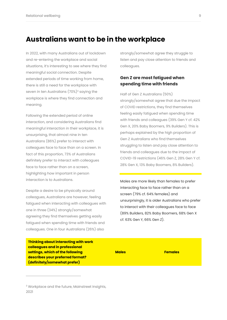#### **Australians want to be in the workplace**

In 2022, with many Australians out of lockdown and re-entering the workplace and social situations, it's interesting to see where they find meaningful social connection. Despite extended periods of time working from home, there is still a need for the workplace with seven in ten Australians  $(70\%)^3$  saying the workplace is where they find connection and meaning.

Following the extended period of online interaction, and considering Australians find meaningful interaction in their workplace, it is unsurprising, that almost nine in ten Australians (86%) prefer to interact with colleagues face to face than on a screen. In fact of this proportion, 73% of Australians definitely prefer to interact with colleagues face to face rather than on a screen, highlighting how important in person interaction is to Australians.

Despite a desire to be physically around colleagues, Australians are however, feeling fatigued when interacting with colleagues with one in three (34%) strongly/somewhat agreeing they find themselves getting easily fatigued when spending time with friends and colleagues. One in four Australians (26%) also

strongly/somewhat agree they struggle to listen and pay close attention to friends and colleagues.

#### **Gen Z are most fatigued when spending time with friends**

Half of Gen Z Australians (50%) strongly/somewhat agree that due the impact of COVID restrictions, they find themselves feeling easily fatigued when spending time with friends and colleagues (39% Gen Y cf. 42% Gen X, 20% Baby Boomers, 9% Builders). This is perhaps explained by the high proportion of Gen Z Australians who find themselves struggling to listen and pay close attention to friends and colleagues due to the impact of COVID-19 restrictions (46% Gen Z, 28% Gen Y cf. 28% Gen X, 13% Baby Boomers, 8% Builders).

Males are more likely than females to prefer interacting face to face rather than on a screen (79% cf. 64% females) and unsurprisingly, it is older Australians who prefer to interact with their colleagues face to face (89% Builders, 82% Baby Boomers, 68% Gen X cf. 63% Gen Y, 66% Gen Z).

**Thinking about interacting with work colleagues and in professional settings, which of the following describes your preferred format? (definitely/somewhat prefer)**

**Males Females**

<sup>&</sup>lt;sup>3</sup> Workplace and the future, Mainstreet Insights, 2021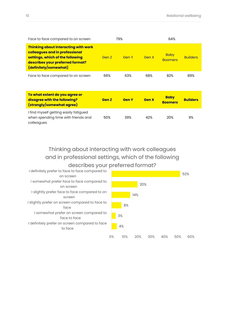| Face to face compared to on screen                                                                                                                                      | 79%   |       |       | 64%                           |                 |
|-------------------------------------------------------------------------------------------------------------------------------------------------------------------------|-------|-------|-------|-------------------------------|-----------------|
| Thinking about interacting with work<br>colleagues and in professional<br>settings, which of the following<br>describes your preferred format?<br>(definitely/somewhat) | Gen Z | Gen Y | Gen X | <b>Baby</b><br><b>Boomers</b> | <b>Builders</b> |
| Face to face compared to on screen                                                                                                                                      | 66%   | 63%   | 68%   | 82%                           | 89%             |

| To what extent do you agree or<br>disagree with the following?<br>(strongly/somewhat agree) | <b>Gen Z</b> | <b>Gen Y</b> | <b>Gen X</b> | <b>Baby</b><br><b>Boomers</b> | <b>Builders</b> |
|---------------------------------------------------------------------------------------------|--------------|--------------|--------------|-------------------------------|-----------------|
| I find myself getting easily fatigued<br>when spending time with friends and<br>colleagues  | 50%          | 39%          | 42%          | 20%                           | 9%              |

Thinking about interacting with work colleagues and in professional settings, which of the following describes your preferred format?

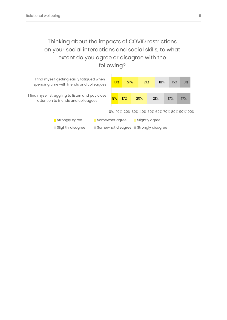#### Thinking about the impacts of COVID restrictions on your social interactions and social skills, to what extent do you agree or disagree with the following?

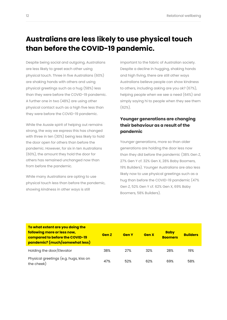#### **Australians are less likely to use physical touch than before the COVID-19 pandemic.**

Despite being social and outgoing, Australians are less likely to greet each other using physical touch. Three in five Australians (60%) are shaking hands with others and using physical greetings such as a hug (58%) less than they were before the COVID-19 pandemic. A further one in two (48%) are using other physical contact such as a high five less than they were before the COVID-19 pandemic.

While the Aussie spirit of helping out remains strong, the way we express this has changed with three in ten (30%) being less likely to hold the door open for others than before the pandemic. However, for six in ten Australians (60%), the amount they hold the door for others has remained unchanged now than from before the pandemic.

While many Australians are opting to use physical touch less than before the pandemic, showing kindness in other ways is still

important to the fabric of Australian society. Despite a decline in hugging, shaking hands and high fiving, there are still other ways Australians believe people can show kindness to others, including asking are you ok? (67%), helping people when we see a need (64%) and simply saying hi to people when they see them  $(62\%)$ .

#### **Younger generations are changing their behaviour as a result of the pandemic**

Younger generations, more so than older generations are holding the door less now than they did before the pandemic (38% Gen Z, 27% Gen Y cf. 32% Gen X, 28% Baby Boomers, 19% Builders). Younger Australians are also less likely now to use physical greetings such as a hug than before the COVID-19 pandemic (47% Gen Z, 52% Gen Y cf. 62% Gen X, 69% Baby Boomers, 58% Builders).

| To what extent are you doing the<br>following more or less now,<br>compared to before the COVID-19<br>pandemic? (much/somewhat less) | <b>Gen Z</b> | <b>Gen Y</b> | <b>Gen X</b> | <b>Baby</b><br><b>Boomers</b> | <b>Builders</b> |
|--------------------------------------------------------------------------------------------------------------------------------------|--------------|--------------|--------------|-------------------------------|-----------------|
| Holding the door/Elevator                                                                                                            | 38%          | 27%          | 32%          | 28%                           | 19%             |
| Physical greetings (e.g. hugs, kiss on<br>the cheek)                                                                                 | 47%          | 52%          | 62%          | 69%                           | 58%             |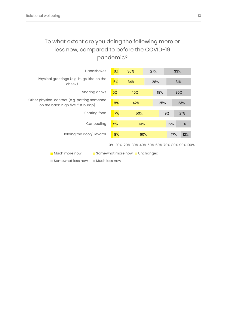#### To what extent are you doing the following more or less now, compared to before the COVID-19 pandemic?



Somewhat less now Much less now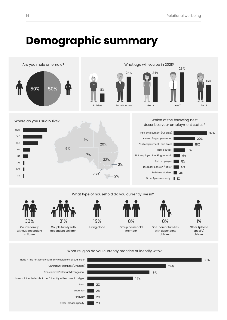### <span id="page-13-0"></span>**Demographic summary**



#### What religion do you currently practice or identify with?